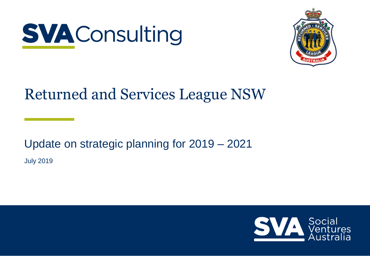



# Returned and Services League NSW

Update on strategic planning for 2019 – 2021 July 2019

Social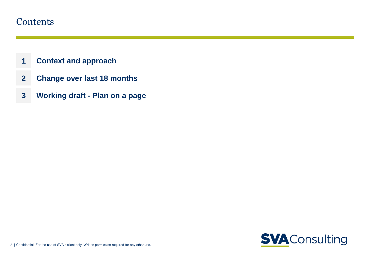#### <span id="page-1-0"></span>**Contents**

- **[1](#page-1-0) [Context and approach](#page-1-0)**
- **2 Change over last 18 months**
- **3 Working draft - Plan on a page**

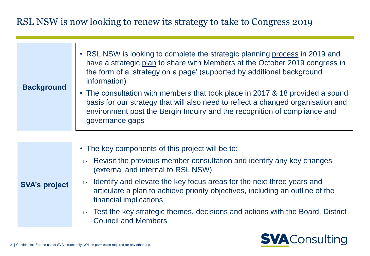## RSL NSW is now looking to renew its strategy to take to Congress 2019

| • The consultation with members that took place in 2017 & 18 provided a sound<br>basis for our strategy that will also need to reflect a changed organisation and | <b>Background</b> | • RSL NSW is looking to complete the strategic planning process in 2019 and<br>have a strategic plan to share with Members at the October 2019 congress in<br>the form of a 'strategy on a page' (supported by additional background<br>information) |
|-------------------------------------------------------------------------------------------------------------------------------------------------------------------|-------------------|------------------------------------------------------------------------------------------------------------------------------------------------------------------------------------------------------------------------------------------------------|
| governance gaps                                                                                                                                                   |                   | environment post the Bergin Inquiry and the recognition of compliance and                                                                                                                                                                            |

|                      | • The key components of this project will be to:                                                                                                                                            |
|----------------------|---------------------------------------------------------------------------------------------------------------------------------------------------------------------------------------------|
|                      | Revisit the previous member consultation and identify any key changes<br>$\circ$<br>(external and internal to RSL NSW)                                                                      |
| <b>SVA's project</b> | Identify and elevate the key focus areas for the next three years and<br>$\circ$<br>articulate a plan to achieve priority objectives, including an outline of the<br>financial implications |
|                      | Test the key strategic themes, decisions and actions with the Board, District<br><b>Council and Members</b>                                                                                 |

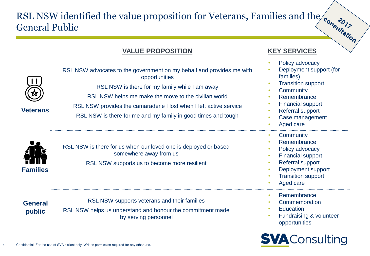## RSL NSW identified the value proposition for Veterans, Families and the General Public

#### **VALUE PROPOSITION KEY SERVICES**

• Policy advocacy

| <b>Veterans</b>          | RSL NSW advocates to the government on my behalf and provides me with<br>opportunities<br>RSL NSW is there for my family while I am away<br>RSL NSW helps me make the move to the civilian world<br>RSL NSW provides the camaraderie I lost when I left active service<br>RSL NSW is there for me and my family in good times and tough | $\bullet$<br>$\bullet$<br>$\bullet$                                     | Deployment support (for<br>families)<br><b>Transition support</b><br>Community<br>Remembrance<br><b>Financial support</b><br><b>Referral support</b><br>Case management<br>Aged care |
|--------------------------|-----------------------------------------------------------------------------------------------------------------------------------------------------------------------------------------------------------------------------------------------------------------------------------------------------------------------------------------|-------------------------------------------------------------------------|--------------------------------------------------------------------------------------------------------------------------------------------------------------------------------------|
| <b>Families</b>          | RSL NSW is there for us when our loved one is deployed or based<br>somewhere away from us<br>RSL NSW supports us to become more resilient                                                                                                                                                                                               | ۰<br>$\bullet$<br>$\bullet$<br>۰<br>$\bullet$<br>$\bullet$<br>$\bullet$ | Community<br>Remembrance<br>Policy advocacy<br><b>Financial support</b><br><b>Referral support</b><br>Deployment support<br><b>Transition support</b><br>Aged care                   |
| <b>General</b><br>public | RSL NSW supports veterans and their families<br>RSL NSW helps us understand and honour the commitment made<br>by serving personnel                                                                                                                                                                                                      | $\bullet$<br>$\bullet$<br>$\bullet$<br>$\bullet$                        | Remembrance<br>Commemoration<br><b>Education</b><br>Fundraising & volunteer<br>opportunities                                                                                         |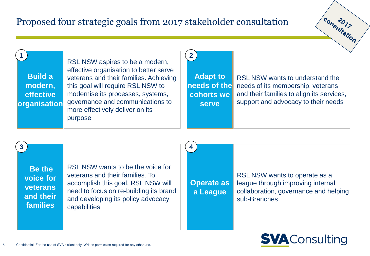## Proposed four strategic goals from 2017 stakeholder consultation

**Build a modern, effective organisation Adapt to needs of the cohorts we serve** RSL NSW aspires to be a modern, effective organisation to better serve veterans and their families. Achieving this goal will require RSL NSW to modernise its processes, systems, governance and communications to more effectively deliver on its purpose RSL NSW wants to understand the needs of its membership, veterans and their families to align its services, support and advocacy to their needs **1 2**

**4**

**Be the voice for veterans and their families**

**3**

RSL NSW wants to be the voice for veterans and their families. To accomplish this goal, RSL NSW will need to focus on re-building its brand and developing its policy advocacy capabilities

**Operate as a League**

RSL NSW wants to operate as a league through improving internal collaboration, governance and helping sub-Branches



consultation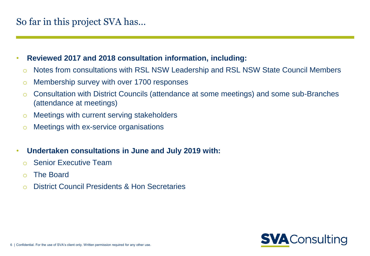## So far in this project SVA has…

- **Reviewed 2017 and 2018 consultation information, including:** 
	- o Notes from consultations with RSL NSW Leadership and RSL NSW State Council Members
	- o Membership survey with over 1700 responses
	- o Consultation with District Councils (attendance at some meetings) and some sub-Branches (attendance at meetings)
	- o Meetings with current serving stakeholders
	- o Meetings with ex-service organisations
- **Undertaken consultations in June and July 2019 with:**
	- o Senior Executive Team
	- o The Board
	- o District Council Presidents & Hon Secretaries

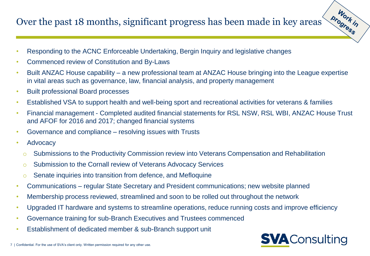## Over the past 18 months, significant progress has been made in key areas

- Responding to the ACNC Enforceable Undertaking, Bergin Inquiry and legislative changes
- Commenced review of Constitution and By-Laws
- Built ANZAC House capability a new professional team at ANZAC House bringing into the League expertise in vital areas such as governance, law, financial analysis, and property management
- Built professional Board processes
- Established VSA to support health and well-being sport and recreational activities for veterans & families
- Financial management Completed audited financial statements for RSL NSW, RSL WBI, ANZAC House Trust and AFOF for 2016 and 2017; changed financial systems
- Governance and compliance resolving issues with Trusts
- Advocacy
	- o Submissions to the Productivity Commission review into Veterans Compensation and Rehabilitation
	- o Submission to the Cornall review of Veterans Advocacy Services
	- Senate inquiries into transition from defence, and Mefloquine
- Communications regular State Secretary and President communications; new website planned
- Membership process reviewed, streamlined and soon to be rolled out throughout the network
- Upgraded IT hardware and systems to streamline operations, reduce running costs and improve efficiency
- Governance training for sub-Branch Executives and Trustees commenced
- Establishment of dedicated member & sub-Branch support unit



Work in progress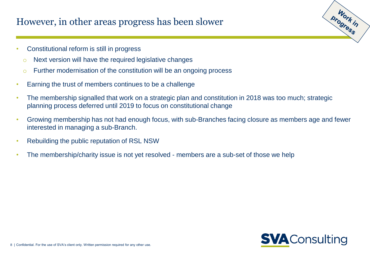#### However, in other areas progress has been slower

- Constitutional reform is still in progress
	- o Next version will have the required legislative changes
	- $\circ$  Further modernisation of the constitution will be an ongoing process
- Earning the trust of members continues to be a challenge
- The membership signalled that work on a strategic plan and constitution in 2018 was too much; strategic planning process deferred until 2019 to focus on constitutional change
- Growing membership has not had enough focus, with sub-Branches facing closure as members age and fewer interested in managing a sub-Branch.
- Rebuilding the public reputation of RSL NSW
- The membership/charity issue is not yet resolved members are a sub-set of those we help



Work in progress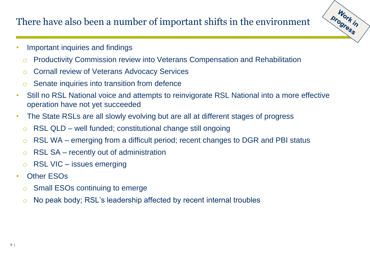## There have also been a number of important shifts in the environment

Work in progress

- Important inquiries and findings
	- o Productivity Commission review into Veterans Compensation and Rehabilitation
	- o Cornall review of Veterans Advocacy Services
	- o Senate inquiries into transition from defence
- Still no RSL National voice and attempts to reinvigorate RSL National into a more effective operation have not yet succeeded
- The State RSLs are all slowly evolving but are all at different stages of progress
	- $\circ$  RSL QLD well funded; constitutional change still ongoing
	- $\circ$  RSL WA emerging from a difficult period; recent changes to DGR and PBI status
	- $\circ$  RSL SA recently out of administration
	- $\circ$  RSL VIC issues emerging
- Other ESOs
	- o Small ESOs continuing to emerge
	- o No peak body; RSL's leadership affected by recent internal troubles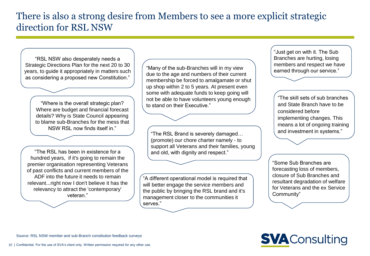#### There is also a strong desire from Members to see a more explicit strategic direction for RSL NSW

"RSL NSW also desperately needs a Strategic Directions Plan for the next 20 to 30 years, to guide it appropriately in matters such as considering a proposed new Constitution."

"Where is the overall strategic plan? Where are budget and financial forecast details? Why is State Council appearing to blame sub-Branches for the mess that NSW RSL now finds itself in."

"The RSL has been in existence for a hundred years, if it's going to remain the premier organisation representing Veterans of past conflicts and current members of the ADF into the future it needs to remain relevant...right now I don't believe it has the relevancy to attract the 'contemporary' veteran."

"Many of the sub-Branches will in my view due to the age and numbers of their current membership be forced to amalgamate or shut up shop within 2 to 5 years. At present even some with adequate funds to keep going will not be able to have volunteers young enough to stand on their Executive."

"The RSL Brand is severely damaged… (promote) our chore charter namely - to support all Veterans and their families, young and old, with dignity and respect."

"A different operational model is required that will better engage the service members and the public by bringing the RSL brand and it's management closer to the communities it serves."

"Just get on with it. The Sub Branches are hurting, losing members and respect we have earned through our service."

"The skill sets of sub branches and State Branch have to be considered before implementing changes. This means a lot of ongoing training and investment in systems."

"Some Sub Branches are forecasting loss of members, closure of Sub Branches and resultant degradation of welfare for Veterans and the ex Service Community"

# **SVA** Consulting

Source: RSL NSW member and sub-Branch constitution feedback surveys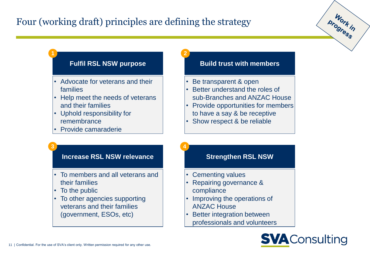## Four (working draft) principles are defining the strategy

**1 2**

- Advocate for veterans and their families
- Help meet the needs of veterans and their families
- Uphold responsibility for remembrance
- Provide camaraderie

#### **Fulfil RSL NSW purpose The Build trust with members**

- Be transparent & open
- Better understand the roles of sub-Branches and ANZAC House
- Provide opportunities for members to have a say & be receptive
- Show respect & be reliable

#### **Increase RSL NSW relevance The Strengthen RSL NSW**

**3 4**

- To members and all veterans and their families
- To the public
- To other agencies supporting veterans and their families (government, ESOs, etc)

- Cementing values
- Repairing governance & compliance
- Improving the operations of ANZAC House
- **Better integration between** professionals and volunteers



progress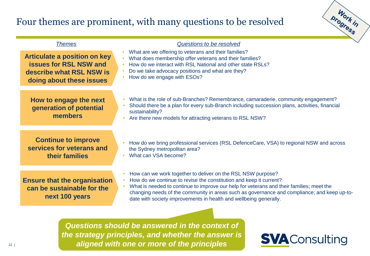#### Four themes are prominent, with many questions to be resolved



| <b>Themes</b>                                                                                                                | Questions to be resolved                                                                                                                                                                                                                                                                                                                                                                          |
|------------------------------------------------------------------------------------------------------------------------------|---------------------------------------------------------------------------------------------------------------------------------------------------------------------------------------------------------------------------------------------------------------------------------------------------------------------------------------------------------------------------------------------------|
| <b>Articulate a position on key</b><br><b>issues for RSL NSW and</b><br>describe what RSL NSW is<br>doing about these issues | What are we offering to veterans and their families?<br>What does membership offer veterans and their families?<br>$\bullet$<br>How do we interact with RSL National and other state RSLs?<br>Do we take advocacy positions and what are they?<br>How do we engage with ESOs?                                                                                                                     |
| How to engage the next<br>generation of potential<br>members                                                                 | What is the role of sub-Branches? Remembrance, camaraderie, community engagement?<br>Should there be a plan for every sub-Branch including succession plans, activities, financial<br>sustainability?<br>Are there new models for attracting veterans to RSL NSW?                                                                                                                                 |
| <b>Continue to improve</b><br>services for veterans and<br>their families                                                    | How do we bring professional services (RSL DefenceCare, VSA) to regional NSW and across<br>the Sydney metropolitan area?<br>What can VSA become?                                                                                                                                                                                                                                                  |
| <b>Ensure that the organisation</b><br>can be sustainable for the<br>next 100 years                                          | How can we work together to deliver on the RSL NSW purpose?<br>How do we continue to revise the constitution and keep it current?<br>What is needed to continue to improve our help for veterans and their families; meet the<br>changing needs of the community in areas such as governance and compliance; and keep up-to-<br>date with society improvements in health and wellbeing generally. |
|                                                                                                                              | Questions should be answered in the context of                                                                                                                                                                                                                                                                                                                                                    |

**Extending a subset only. Written permission required for aligned with one or more of the principles** *Questions should be answered in the context of the strategy principles, and whether the answer is*